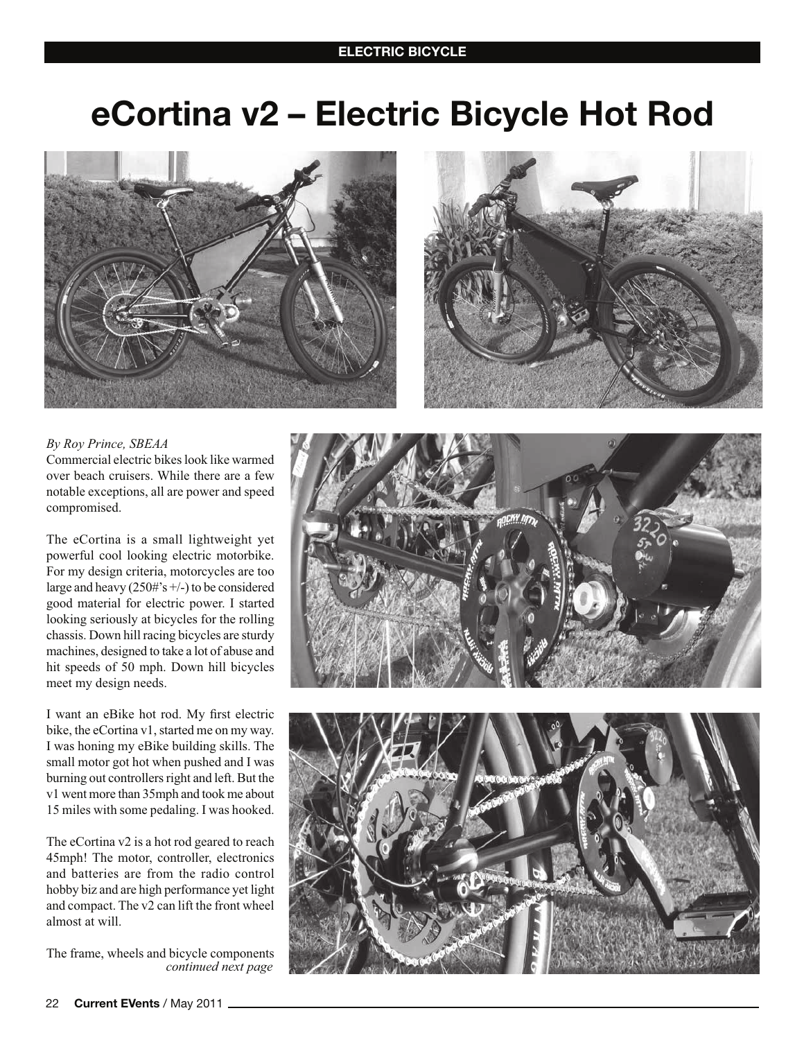### **ELECTRIC BICYCLE**

# eCortina v2 - Electric Bicycle Hot Rod





#### By Roy Prince, SBEAA

Commercial electric bikes look like warmed over beach cruisers. While there are a few notable exceptions, all are power and speed compromised.

The eCortina is a small lightweight yet powerful cool looking electric motorbike. For my design criteria, motorcycles are too large and heavy  $(250\frac{4}{5} +/-)$  to be considered good material for electric power. I started looking seriously at bicycles for the rolling chassis. Down hill racing bicycles are sturdy machines, designed to take a lot of abuse and hit speeds of 50 mph. Down hill bicycles meet my design needs.

I want an eBike hot rod. My first electric bike, the eCortina v1, started me on my way. I was honing my eBike building skills. The small motor got hot when pushed and I was burning out controllers right and left. But the v1 went more than 35mph and took me about 15 miles with some pedaling. I was hooked.

The eCortina v2 is a hot rod geared to reach 45mph! The motor, controller, electronics and batteries are from the radio control hobby biz and are high performance yet light and compact. The v2 can lift the front wheel almost at will.

The frame, wheels and bicycle components continued next page